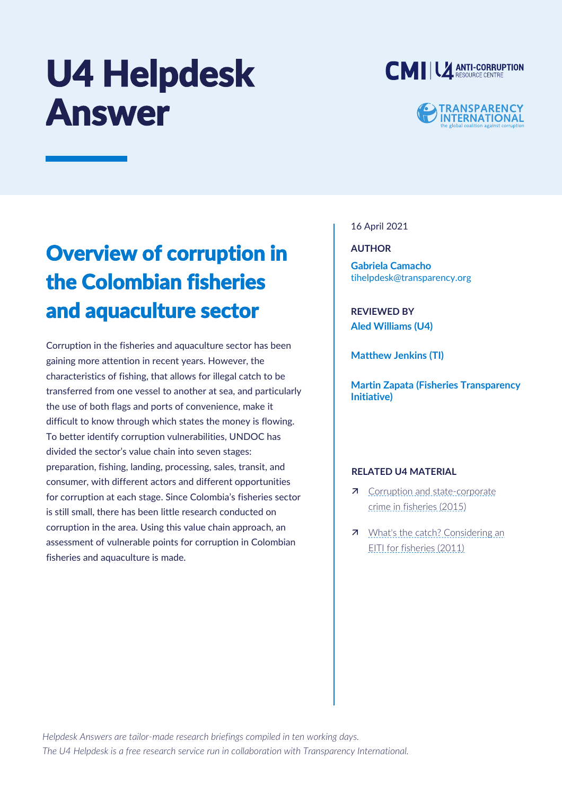# U4 Helpdesk Answer





# Overview of corruption in the Colombian fisheries and aquaculture sector

Corruption in the fisheries and aquaculture sector has been gaining more attention in recent years. However, the characteristics of fishing, that allows for illegal catch to be transferred from one vessel to another at sea, and particularly the use of both flags and ports of convenience, make it difficult to know through which states the money is flowing. To better identify corruption vulnerabilities, UNDOC has divided the sector's value chain into seven stages: preparation, fishing, landing, processing, sales, transit, and consumer, with different actors and different opportunities for corruption at each stage. Since Colombia's fisheries sector is still small, there has been little research conducted on corruption in the area. Using this value chain approach, an assessment of vulnerable points for corruption in Colombian fisheries and aquaculture is made.

# 16 April 2021

**AUTHOR**

**Gabriela Camacho**  [tihelpdesk@transparency.org](mailto:tihelpdesk@transparency.org)

**REVIEWED BY Aled Williams (U4)**

**Matthew Jenkins (TI)**

**Martin Zapata (Fisheries Transparency Initiative)**

# **RELATED U4 MATERIAL**

- 7 Corruption and state-corporate [crime in fisheries \(2015\)](https://www.u4.no/publications/corruption-and-state-corporate-crime-in-fisheries)
- **7** What's the catch? Considering an [EITI for fisheries \(2011\)](https://www.u4.no/publications/what-s-the-catch-considering-an-eiti-for-fisheries)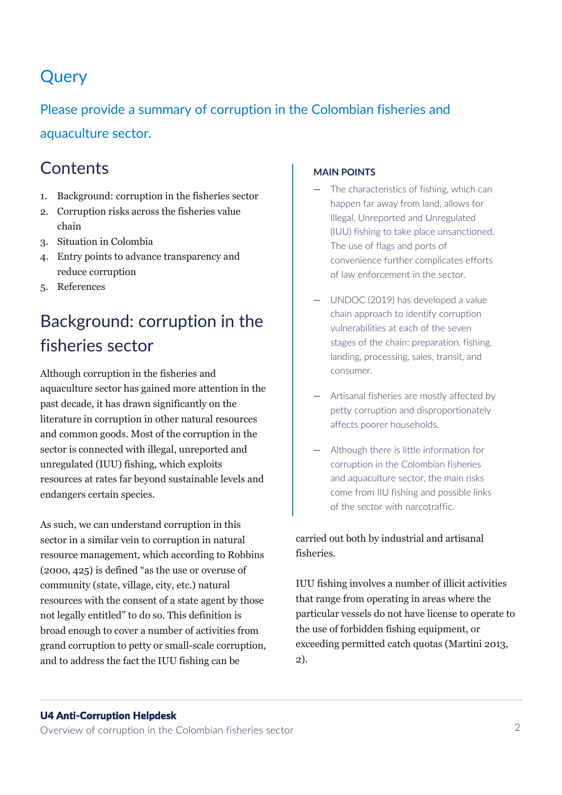# **Query**

# Please provide a summary of corruption in the Colombian fisheries and aquaculture sector.

# **Contents**

- 1. Background: corruption in the fisheries sector
- 2. Corruption risks across the fisheries value chain
- 3. Situation in Colombia
- 4. Entry points to advance transparency and reduce corruption
- 5. References

# Background: corruption in the fisheries sector

Although corruption in the fisheries and aquaculture sector has gained more attention in the past decade, it has drawn significantly on the literature in corruption in other natural resources and common goods. Most of the corruption in the sector is connected with illegal, unreported and unregulated (IUU) fishing, which exploits resources at rates far beyond sustainable levels and endangers certain species.

As such, we can understand corruption in this sector in a similar vein to corruption in natural resource management, which according to Robbins (2000, 425) is defined "as the use or overuse of community (state, village, city, etc.) natural resources with the consent of a state agent by those not legally entitled" to do so. This definition is broad enough to cover a number of activities from grand corruption to petty or small-scale corruption, and to address the fact the IUU fishing can be

# **MAIN POINTS**

- The characteristics of fishing, which can happen far away from land, allows for Illegal, Unreported and Unregulated (IUU) fishing to take place unsanctioned. The use of flags and ports of convenience further complicates efforts of law enforcement in the sector.
- UNDOC (2019) has developed a value chain approach to identify corruption vulnerabilities at each of the seven stages of the chain: preparation, fishing, landing, processing, sales, transit, and consumer.
- Artisanal fisheries are mostly affected by petty corruption and disproportionately affects poorer households.
- Although there is little information for corruption in the Colombian fisheries and aquaculture sector, the main risks come from IIU fishing and possible links of the sector with narcotraffic.

carried out both by industrial and artisanal fisheries.

IUU fishing involves a number of illicit activities that range from operating in areas where the particular vessels do not have license to operate to the use of forbidden fishing equipment, or exceeding permitted catch quotas (Martini 2013, 2).

# U4 Anti-Corruption Helpdesk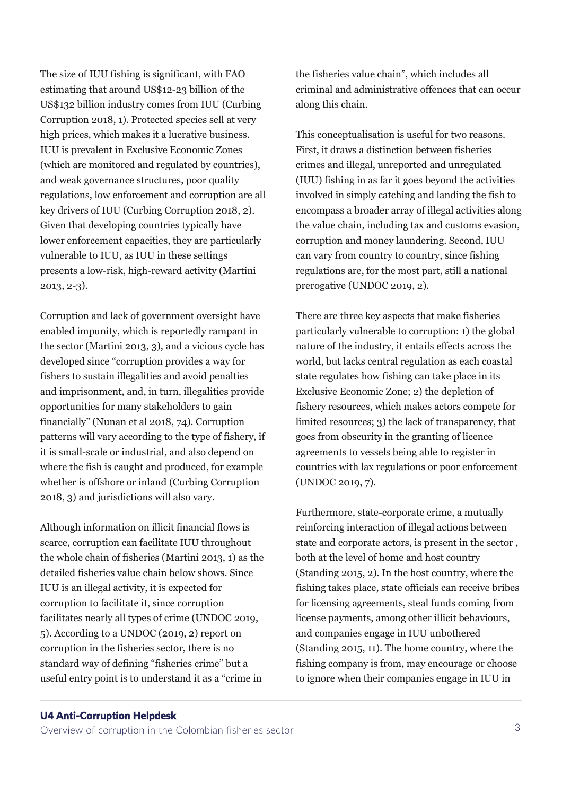The size of IUU fishing is significant, with FAO estimating that around US\$12-23 billion of the US\$132 billion industry comes from IUU (Curbing Corruption 2018, 1). Protected species sell at very high prices, which makes it a lucrative business. IUU is prevalent in Exclusive Economic Zones (which are monitored and regulated by countries), and weak governance structures, poor quality regulations, low enforcement and corruption are all key drivers of IUU (Curbing Corruption 2018, 2). Given that developing countries typically have lower enforcement capacities, they are particularly vulnerable to IUU, as IUU in these settings presents a low-risk, high-reward activity (Martini 2013, 2-3).

Corruption and lack of government oversight have enabled impunity, which is reportedly rampant in the sector (Martini 2013, 3), and a vicious cycle has developed since "corruption provides a way for fishers to sustain illegalities and avoid penalties and imprisonment, and, in turn, illegalities provide opportunities for many stakeholders to gain financially" (Nunan et al 2018, 74). Corruption patterns will vary according to the type of fishery, if it is small-scale or industrial, and also depend on where the fish is caught and produced, for example whether is offshore or inland (Curbing Corruption 2018, 3) and jurisdictions will also vary.

Although information on illicit financial flows is scarce, corruption can facilitate IUU throughout the whole chain of fisheries (Martini 2013, 1) as the detailed fisheries value chain below shows. Since IUU is an illegal activity, it is expected for corruption to facilitate it, since corruption facilitates nearly all types of crime (UNDOC 2019, 5). According to a UNDOC (2019, 2) report on corruption in the fisheries sector, there is no standard way of defining "fisheries crime" but a useful entry point is to understand it as a "crime in

the fisheries value chain", which includes all criminal and administrative offences that can occur along this chain.

This conceptualisation is useful for two reasons. First, it draws a distinction between fisheries crimes and illegal, unreported and unregulated (IUU) fishing in as far it goes beyond the activities involved in simply catching and landing the fish to encompass a broader array of illegal activities along the value chain, including tax and customs evasion, corruption and money laundering. Second, IUU can vary from country to country, since fishing regulations are, for the most part, still a national prerogative (UNDOC 2019, 2).

There are three key aspects that make fisheries particularly vulnerable to corruption: 1) the global nature of the industry, it entails effects across the world, but lacks central regulation as each coastal state regulates how fishing can take place in its Exclusive Economic Zone; 2) the depletion of fishery resources, which makes actors compete for limited resources; 3) the lack of transparency, that goes from obscurity in the granting of licence agreements to vessels being able to register in countries with lax regulations or poor enforcement (UNDOC 2019, 7).

Furthermore, state-corporate crime, a mutually reinforcing interaction of illegal actions between state and corporate actors, is present in the sector , both at the level of home and host country (Standing 2015, 2). In the host country, where the fishing takes place, state officials can receive bribes for licensing agreements, steal funds coming from license payments, among other illicit behaviours, and companies engage in IUU unbothered (Standing 2015, 11). The home country, where the fishing company is from, may encourage or choose to ignore when their companies engage in IUU in

#### U4 Anti-Corruption Helpdesk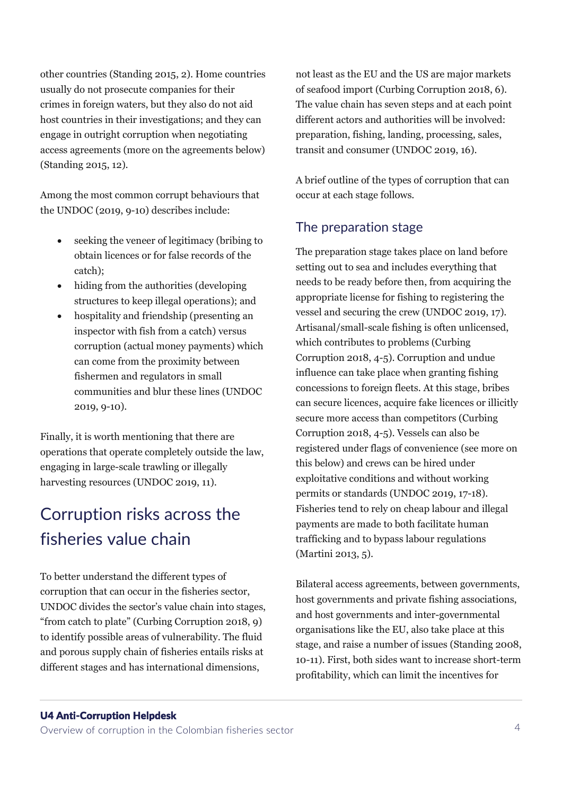other countries (Standing 2015, 2). Home countries usually do not prosecute companies for their crimes in foreign waters, but they also do not aid host countries in their investigations; and they can engage in outright corruption when negotiating access agreements (more on the agreements below) (Standing 2015, 12).

Among the most common corrupt behaviours that the UNDOC (2019, 9-10) describes include:

- seeking the veneer of legitimacy (bribing to obtain licences or for false records of the catch);
- hiding from the authorities (developing structures to keep illegal operations); and
- hospitality and friendship (presenting an inspector with fish from a catch) versus corruption (actual money payments) which can come from the proximity between fishermen and regulators in small communities and blur these lines (UNDOC 2019, 9-10).

Finally, it is worth mentioning that there are operations that operate completely outside the law, engaging in large-scale trawling or illegally harvesting resources (UNDOC 2019, 11).

# Corruption risks across the fisheries value chain

To better understand the different types of corruption that can occur in the fisheries sector, UNDOC divides the sector's value chain into stages, "from catch to plate" (Curbing Corruption 2018, 9) to identify possible areas of vulnerability. The fluid and porous supply chain of fisheries entails risks at different stages and has international dimensions,

not least as the EU and the US are major markets of seafood import (Curbing Corruption 2018, 6). The value chain has seven steps and at each point different actors and authorities will be involved: preparation, fishing, landing, processing, sales, transit and consumer (UNDOC 2019, 16).

A brief outline of the types of corruption that can occur at each stage follows.

# The preparation stage

The preparation stage takes place on land before setting out to sea and includes everything that needs to be ready before then, from acquiring the appropriate license for fishing to registering the vessel and securing the crew (UNDOC 2019, 17). Artisanal/small-scale fishing is often unlicensed, which contributes to problems (Curbing Corruption 2018, 4-5). Corruption and undue influence can take place when granting fishing concessions to foreign fleets. At this stage, bribes can secure licences, acquire fake licences or illicitly secure more access than competitors (Curbing Corruption 2018, 4-5). Vessels can also be registered under flags of convenience (see more on this below) and crews can be hired under exploitative conditions and without working permits or standards (UNDOC 2019, 17-18). Fisheries tend to rely on cheap labour and illegal payments are made to both facilitate human trafficking and to bypass labour regulations (Martini 2013, 5).

Bilateral access agreements, between governments, host governments and private fishing associations, and host governments and inter-governmental organisations like the EU, also take place at this stage, and raise a number of issues (Standing 2008, 10-11). First, both sides want to increase short-term profitability, which can limit the incentives for

#### U4 Anti-Corruption Helpdesk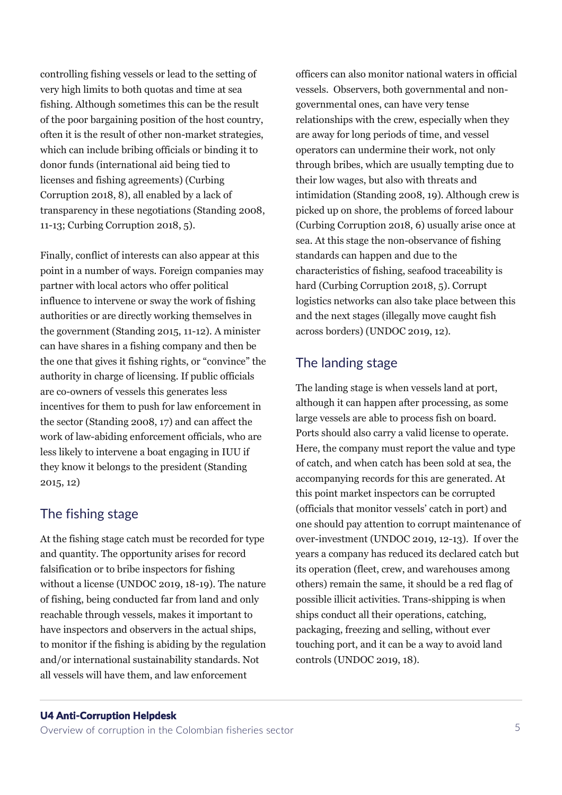controlling fishing vessels or lead to the setting of very high limits to both quotas and time at sea fishing. Although sometimes this can be the result of the poor bargaining position of the host country, often it is the result of other non-market strategies, which can include bribing officials or binding it to donor funds (international aid being tied to licenses and fishing agreements) (Curbing Corruption 2018, 8), all enabled by a lack of transparency in these negotiations (Standing 2008, 11-13; Curbing Corruption 2018, 5).

Finally, conflict of interests can also appear at this point in a number of ways. Foreign companies may partner with local actors who offer political influence to intervene or sway the work of fishing authorities or are directly working themselves in the government (Standing 2015, 11-12). A minister can have shares in a fishing company and then be the one that gives it fishing rights, or "convince" the authority in charge of licensing. If public officials are co-owners of vessels this generates less incentives for them to push for law enforcement in the sector (Standing 2008, 17) and can affect the work of law-abiding enforcement officials, who are less likely to intervene a boat engaging in IUU if they know it belongs to the president (Standing 2015, 12)

# The fishing stage

At the fishing stage catch must be recorded for type and quantity. The opportunity arises for record falsification or to bribe inspectors for fishing without a license (UNDOC 2019, 18-19). The nature of fishing, being conducted far from land and only reachable through vessels, makes it important to have inspectors and observers in the actual ships, to monitor if the fishing is abiding by the regulation and/or international sustainability standards. Not all vessels will have them, and law enforcement

officers can also monitor national waters in official vessels. Observers, both governmental and nongovernmental ones, can have very tense relationships with the crew, especially when they are away for long periods of time, and vessel operators can undermine their work, not only through bribes, which are usually tempting due to their low wages, but also with threats and intimidation (Standing 2008, 19). Although crew is picked up on shore, the problems of forced labour (Curbing Corruption 2018, 6) usually arise once at sea. At this stage the non-observance of fishing standards can happen and due to the characteristics of fishing, seafood traceability is hard (Curbing Corruption 2018, 5). Corrupt logistics networks can also take place between this and the next stages (illegally move caught fish across borders) (UNDOC 2019, 12).

# The landing stage

The landing stage is when vessels land at port, although it can happen after processing, as some large vessels are able to process fish on board. Ports should also carry a valid license to operate. Here, the company must report the value and type of catch, and when catch has been sold at sea, the accompanying records for this are generated. At this point market inspectors can be corrupted (officials that monitor vessels' catch in port) and one should pay attention to corrupt maintenance of over-investment (UNDOC 2019, 12-13). If over the years a company has reduced its declared catch but its operation (fleet, crew, and warehouses among others) remain the same, it should be a red flag of possible illicit activities. Trans-shipping is when ships conduct all their operations, catching, packaging, freezing and selling, without ever touching port, and it can be a way to avoid land controls (UNDOC 2019, 18).

### U4 Anti-Corruption Helpdesk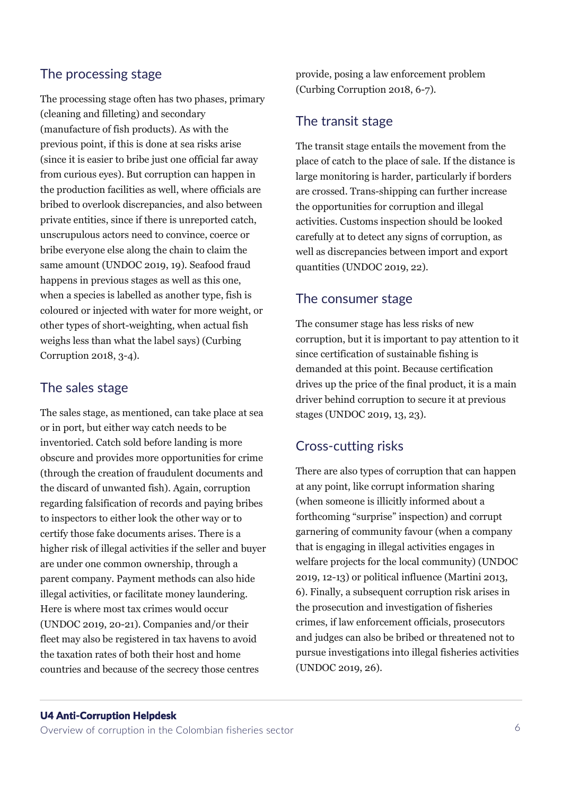# The processing stage

The processing stage often has two phases, primary (cleaning and filleting) and secondary (manufacture of fish products). As with the previous point, if this is done at sea risks arise (since it is easier to bribe just one official far away from curious eyes). But corruption can happen in the production facilities as well, where officials are bribed to overlook discrepancies, and also between private entities, since if there is unreported catch, unscrupulous actors need to convince, coerce or bribe everyone else along the chain to claim the same amount (UNDOC 2019, 19). Seafood fraud happens in previous stages as well as this one, when a species is labelled as another type, fish is coloured or injected with water for more weight, or other types of short-weighting, when actual fish weighs less than what the label says) (Curbing Corruption 2018, 3-4).

# The sales stage

The sales stage, as mentioned, can take place at sea or in port, but either way catch needs to be inventoried. Catch sold before landing is more obscure and provides more opportunities for crime (through the creation of fraudulent documents and the discard of unwanted fish). Again, corruption regarding falsification of records and paying bribes to inspectors to either look the other way or to certify those fake documents arises. There is a higher risk of illegal activities if the seller and buyer are under one common ownership, through a parent company. Payment methods can also hide illegal activities, or facilitate money laundering. Here is where most tax crimes would occur (UNDOC 2019, 20-21). Companies and/or their fleet may also be registered in tax havens to avoid the taxation rates of both their host and home countries and because of the secrecy those centres

provide, posing a law enforcement problem (Curbing Corruption 2018, 6-7).

# The transit stage

The transit stage entails the movement from the place of catch to the place of sale. If the distance is large monitoring is harder, particularly if borders are crossed. Trans-shipping can further increase the opportunities for corruption and illegal activities. Customs inspection should be looked carefully at to detect any signs of corruption, as well as discrepancies between import and export quantities (UNDOC 2019, 22).

# The consumer stage

The consumer stage has less risks of new corruption, but it is important to pay attention to it since certification of sustainable fishing is demanded at this point. Because certification drives up the price of the final product, it is a main driver behind corruption to secure it at previous stages (UNDOC 2019, 13, 23).

# Cross-cutting risks

There are also types of corruption that can happen at any point, like corrupt information sharing (when someone is illicitly informed about a forthcoming "surprise" inspection) and corrupt garnering of community favour (when a company that is engaging in illegal activities engages in welfare projects for the local community) (UNDOC 2019, 12-13) or political influence (Martini 2013, 6). Finally, a subsequent corruption risk arises in the prosecution and investigation of fisheries crimes, if law enforcement officials, prosecutors and judges can also be bribed or threatened not to pursue investigations into illegal fisheries activities (UNDOC 2019, 26).

#### U4 Anti-Corruption Helpdesk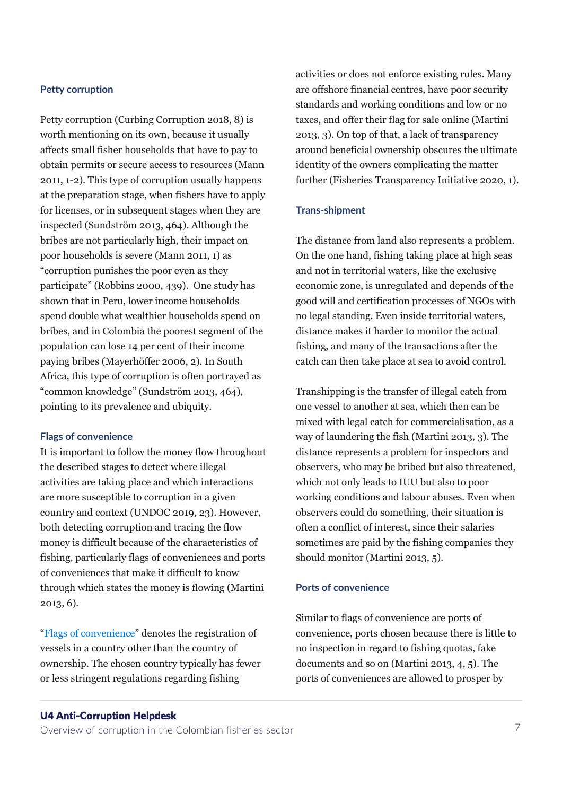#### **Petty corruption**

Petty corruption (Curbing Corruption 2018, 8) is worth mentioning on its own, because it usually affects small fisher households that have to pay to obtain permits or secure access to resources (Mann 2011, 1-2). This type of corruption usually happens at the preparation stage, when fishers have to apply for licenses, or in subsequent stages when they are inspected (Sundström 2013, 464). Although the bribes are not particularly high, their impact on poor households is severe (Mann 2011, 1) as "corruption punishes the poor even as they participate" (Robbins 2000, 439). One study has shown that in Peru, lower income households spend double what wealthier households spend on bribes, and in Colombia the poorest segment of the population can lose 14 per cent of their income paying bribes (Mayerhöffer 2006, 2). In South Africa, this type of corruption is often portrayed as "common knowledge" (Sundström 2013, 464), pointing to its prevalence and ubiquity.

#### **Flags of convenience**

It is important to follow the money flow throughout the described stages to detect where illegal activities are taking place and which interactions are more susceptible to corruption in a given country and context (UNDOC 2019, 23). However, both detecting corruption and tracing the flow money is difficult because of the characteristics of fishing, particularly flags of conveniences and ports of conveniences that make it difficult to know through which states the money is flowing (Martini 2013, 6).

"[Flags of convenience](https://www.itfglobal.org/en/sector/seafarers/flags-of-convenience)" denotes the registration of vessels in a country other than the country of ownership. The chosen country typically has fewer or less stringent regulations regarding fishing

activities or does not enforce existing rules. Many are offshore financial centres, have poor security standards and working conditions and low or no taxes, and offer their flag for sale online (Martini 2013, 3). On top of that, a lack of transparency around beneficial ownership obscures the ultimate identity of the owners complicating the matter further (Fisheries Transparency Initiative 2020, 1).

#### **Trans-shipment**

The distance from land also represents a problem. On the one hand, fishing taking place at high seas and not in territorial waters, like the exclusive economic zone, is unregulated and depends of the good will and certification processes of NGOs with no legal standing. Even inside territorial waters, distance makes it harder to monitor the actual fishing, and many of the transactions after the catch can then take place at sea to avoid control.

Transhipping is the transfer of illegal catch from one vessel to another at sea, which then can be mixed with legal catch for commercialisation, as a way of laundering the fish (Martini 2013, 3). The distance represents a problem for inspectors and observers, who may be bribed but also threatened, which not only leads to IUU but also to poor working conditions and labour abuses. Even when observers could do something, their situation is often a conflict of interest, since their salaries sometimes are paid by the fishing companies they should monitor (Martini 2013, 5).

#### **Ports of convenience**

Similar to flags of convenience are ports of convenience, ports chosen because there is little to no inspection in regard to fishing quotas, fake documents and so on (Martini 2013, 4, 5). The ports of conveniences are allowed to prosper by

#### U4 Anti-Corruption Helpdesk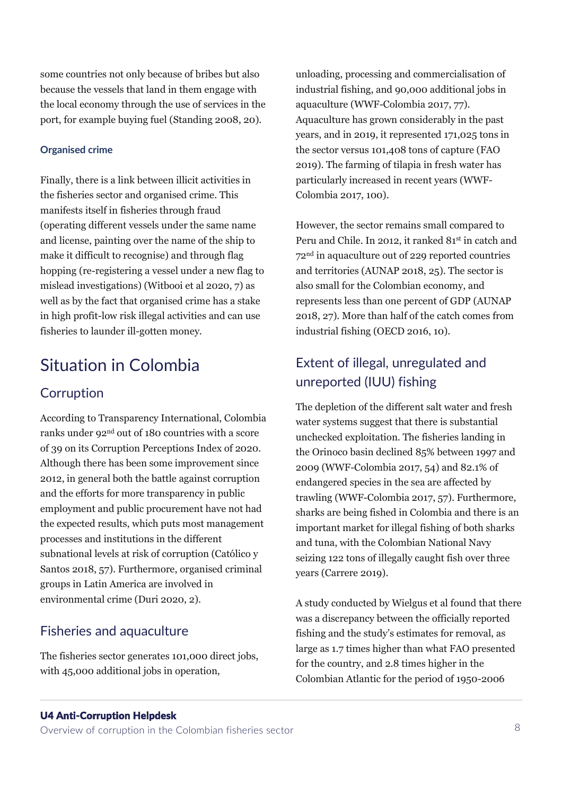some countries not only because of bribes but also because the vessels that land in them engage with the local economy through the use of services in the port, for example buying fuel (Standing 2008, 20).

### **Organised crime**

Finally, there is a link between illicit activities in the fisheries sector and organised crime. This manifests itself in fisheries through fraud (operating different vessels under the same name and license, painting over the name of the ship to make it difficult to recognise) and through flag hopping (re-registering a vessel under a new flag to mislead investigations) (Witbooi et al 2020, 7) as well as by the fact that organised crime has a stake in high profit-low risk illegal activities and can use fisheries to launder ill-gotten money.

# Situation in Colombia

# **Corruption**

According to Transparency International, Colombia ranks under 92nd out of 180 countries with a score of 39 on its Corruption Perceptions Index of 2020. Although there has been some improvement since 2012, in general both the battle against corruption and the efforts for more transparency in public employment and public procurement have not had the expected results, which puts most management processes and institutions in the different subnational levels at risk of corruption (Católico y Santos 2018, 57). Furthermore, organised criminal groups in Latin America are involved in environmental crime (Duri 2020, 2).

# Fisheries and aquaculture

The fisheries sector generates 101,000 direct jobs, with 45,000 additional jobs in operation,

unloading, processing and commercialisation of industrial fishing, and 90,000 additional jobs in aquaculture (WWF-Colombia 2017, 77). Aquaculture has grown considerably in the past years, and in 2019, it represented 171,025 tons in the sector versus 101,408 tons of capture (FAO 2019). The farming of tilapia in fresh water has particularly increased in recent years (WWF-Colombia 2017, 100).

However, the sector remains small compared to Peru and Chile. In 2012, it ranked 81<sup>st</sup> in catch and 72nd in aquaculture out of 229 reported countries and territories (AUNAP 2018, 25). The sector is also small for the Colombian economy, and represents less than one percent of GDP (AUNAP 2018, 27). More than half of the catch comes from industrial fishing (OECD 2016, 10).

# Extent of illegal, unregulated and unreported (IUU) fishing

The depletion of the different salt water and fresh water systems suggest that there is substantial unchecked exploitation. The fisheries landing in the Orinoco basin declined 85% between 1997 and 2009 (WWF-Colombia 2017, 54) and 82.1% of endangered species in the sea are affected by trawling (WWF-Colombia 2017, 57). Furthermore, sharks are being fished in Colombia and there is an important market for illegal fishing of both sharks and tuna, with the Colombian National Navy seizing 122 tons of illegally caught fish over three years (Carrere 2019).

A study conducted by Wielgus et al found that there was a discrepancy between the officially reported fishing and the study's estimates for removal, as large as 1.7 times higher than what FAO presented for the country, and 2.8 times higher in the Colombian Atlantic for the period of 1950-2006

#### U4 Anti-Corruption Helpdesk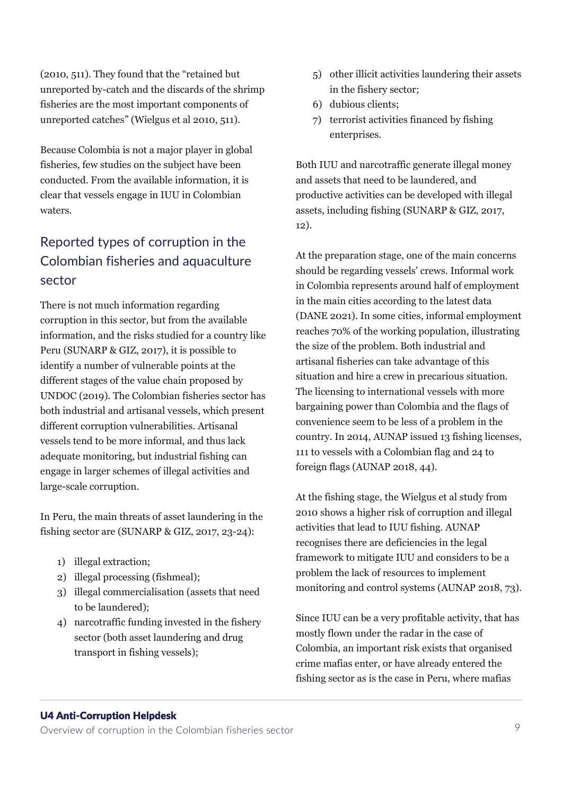(2010, 511). They found that the "retained but unreported by-catch and the discards of the shrimp fisheries are the most important components of unreported catches" (Wielgus et al 2010, 511).

Because Colombia is not a major player in global fisheries, few studies on the subject have been conducted. From the available information, it is clear that vessels engage in IUU in Colombian waters.

# Reported types of corruption in the Colombian fisheries and aquaculture sector

There is not much information regarding corruption in this sector, but from the available information, and the risks studied for a country like Peru (SUNARP & GIZ, 2017), it is possible to identify a number of vulnerable points at the different stages of the value chain proposed by UNDOC (2019). The Colombian fisheries sector has both industrial and artisanal vessels, which present different corruption vulnerabilities. Artisanal vessels tend to be more informal, and thus lack adequate monitoring, but industrial fishing can engage in larger schemes of illegal activities and large-scale corruption.

In Peru, the main threats of asset laundering in the fishing sector are (SUNARP & GIZ, 2017, 23-24):

- 1) illegal extraction;
- 2) illegal processing (fishmeal);
- 3) illegal commercialisation (assets that need to be laundered);
- 4) narcotraffic funding invested in the fishery sector (both asset laundering and drug transport in fishing vessels);
- 5) other illicit activities laundering their assets in the fishery sector;
- 6) dubious clients;
- 7) terrorist activities financed by fishing enterprises.

Both IUU and narcotraffic generate illegal money and assets that need to be laundered, and productive activities can be developed with illegal assets, including fishing (SUNARP & GIZ, 2017, 12).

At the preparation stage, one of the main concerns should be regarding vessels' crews. Informal work in Colombia represents around half of employment in the main cities according to the latest data (DANE 2021). In some cities, informal employment reaches 70% of the working population, illustrating the size of the problem. Both industrial and artisanal fisheries can take advantage of this situation and hire a crew in precarious situation. The licensing to international vessels with more bargaining power than Colombia and the flags of convenience seem to be less of a problem in the country. In 2014, AUNAP issued 13 fishing licenses, 111 to vessels with a Colombian flag and 24 to foreign flags (AUNAP 2018, 44).

At the fishing stage, the Wielgus et al study from 2010 shows a higher risk of corruption and illegal activities that lead to IUU fishing. AUNAP recognises there are deficiencies in the legal framework to mitigate IUU and considers to be a problem the lack of resources to implement monitoring and control systems (AUNAP 2018, 73).

Since IUU can be a very profitable activity, that has mostly flown under the radar in the case of Colombia, an important risk exists that organised crime mafias enter, or have already entered the fishing sector as is the case in Peru, where mafias

# U4 Anti-Corruption Helpdesk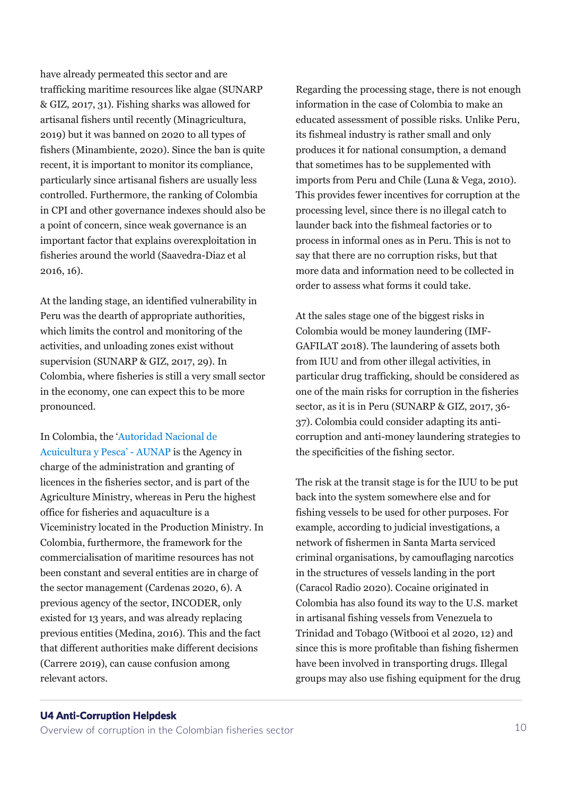have already permeated this sector and are trafficking maritime resources like algae (SUNARP & GIZ, 2017, 31). Fishing sharks was allowed for artisanal fishers until recently (Minagricultura, 2019) but it was banned on 2020 to all types of fishers (Minambiente, 2020). Since the ban is quite recent, it is important to monitor its compliance, particularly since artisanal fishers are usually less controlled. Furthermore, the ranking of Colombia in CPI and other governance indexes should also be a point of concern, since weak governance is an important factor that explains overexploitation in fisheries around the world (Saavedra-Diaz et al 2016, 16).

At the landing stage, an identified vulnerability in Peru was the dearth of appropriate authorities, which limits the control and monitoring of the activities, and unloading zones exist without supervision (SUNARP & GIZ, 2017, 29). In Colombia, where fisheries is still a very small sector in the economy, one can expect this to be more pronounced.

In Colombia, the '[Autoridad Nacional de](https://www.aunap.gov.co/)  [Acuicultura y Pesca'](https://www.aunap.gov.co/) - AUNAP is the Agency in charge of the administration and granting of licences in the fisheries sector, and is part of the Agriculture Ministry, whereas in Peru the highest office for fisheries and aquaculture is a Viceministry located in the Production Ministry. In Colombia, furthermore, the framework for the commercialisation of maritime resources has not been constant and several entities are in charge of the sector management (Cardenas 2020, 6). A previous agency of the sector, INCODER, only existed for 13 years, and was already replacing previous entities (Medina, 2016). This and the fact that different authorities make different decisions (Carrere 2019), can cause confusion among relevant actors.

Regarding the processing stage, there is not enough information in the case of Colombia to make an educated assessment of possible risks. Unlike Peru, its fishmeal industry is rather small and only produces it for national consumption, a demand that sometimes has to be supplemented with imports from Peru and Chile (Luna & Vega, 2010). This provides fewer incentives for corruption at the processing level, since there is no illegal catch to launder back into the fishmeal factories or to process in informal ones as in Peru. This is not to say that there are no corruption risks, but that more data and information need to be collected in order to assess what forms it could take.

At the sales stage one of the biggest risks in Colombia would be money laundering (IMF-GAFILAT 2018). The laundering of assets both from IUU and from other illegal activities, in particular drug trafficking, should be considered as one of the main risks for corruption in the fisheries sector, as it is in Peru (SUNARP & GIZ, 2017, 36- 37). Colombia could consider adapting its anticorruption and anti-money laundering strategies to the specificities of the fishing sector.

The risk at the transit stage is for the IUU to be put back into the system somewhere else and for fishing vessels to be used for other purposes. For example, according to judicial investigations, a network of fishermen in Santa Marta serviced criminal organisations, by camouflaging narcotics in the structures of vessels landing in the port (Caracol Radio 2020). Cocaine originated in Colombia has also found its way to the U.S. market in artisanal fishing vessels from Venezuela to Trinidad and Tobago (Witbooi et al 2020, 12) and since this is more profitable than fishing fishermen have been involved in transporting drugs. Illegal groups may also use fishing equipment for the drug

### U4 Anti-Corruption Helpdesk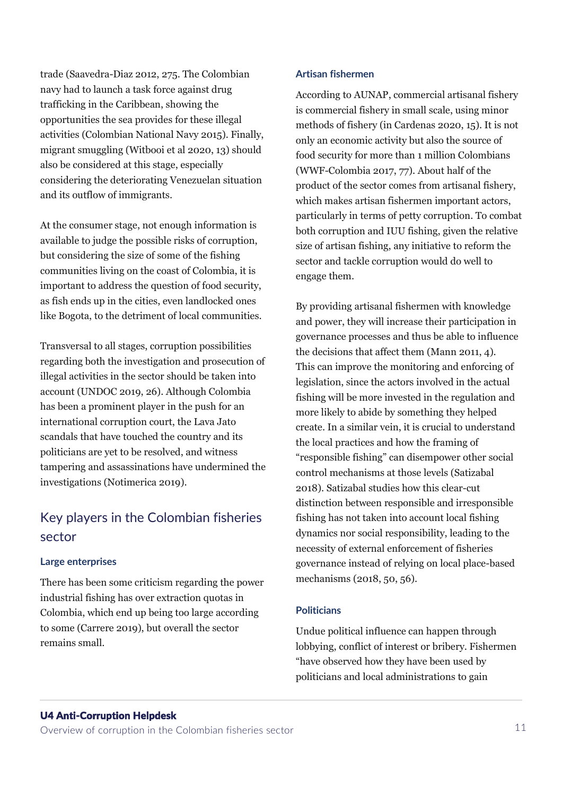trade (Saavedra-Diaz 2012, 275. The Colombian navy had to launch a task force against drug trafficking in the Caribbean, showing the opportunities the sea provides for these illegal activities (Colombian National Navy 2015). Finally, migrant smuggling (Witbooi et al 2020, 13) should also be considered at this stage, especially considering the deteriorating Venezuelan situation and its outflow of immigrants.

At the consumer stage, not enough information is available to judge the possible risks of corruption, but considering the size of some of the fishing communities living on the coast of Colombia, it is important to address the question of food security, as fish ends up in the cities, even landlocked ones like Bogota, to the detriment of local communities.

Transversal to all stages, corruption possibilities regarding both the investigation and prosecution of illegal activities in the sector should be taken into account (UNDOC 2019, 26). Although Colombia has been a prominent player in the push for an international corruption court, the Lava Jato scandals that have touched the country and its politicians are yet to be resolved, and witness tampering and assassinations have undermined the investigations (Notimerica 2019).

# Key players in the Colombian fisheries sector

### **Large enterprises**

There has been some criticism regarding the power industrial fishing has over extraction quotas in Colombia, which end up being too large according to some (Carrere 2019), but overall the sector remains small.

#### **Artisan fishermen**

According to AUNAP, commercial artisanal fishery is commercial fishery in small scale, using minor methods of fishery (in Cardenas 2020, 15). It is not only an economic activity but also the source of food security for more than 1 million Colombians (WWF-Colombia 2017, 77). About half of the product of the sector comes from artisanal fishery, which makes artisan fishermen important actors, particularly in terms of petty corruption. To combat both corruption and IUU fishing, given the relative size of artisan fishing, any initiative to reform the sector and tackle corruption would do well to engage them.

By providing artisanal fishermen with knowledge and power, they will increase their participation in governance processes and thus be able to influence the decisions that affect them (Mann 2011, 4). This can improve the monitoring and enforcing of legislation, since the actors involved in the actual fishing will be more invested in the regulation and more likely to abide by something they helped create. In a similar vein, it is crucial to understand the local practices and how the framing of "responsible fishing" can disempower other social control mechanisms at those levels (Satizabal 2018). Satizabal studies how this clear-cut distinction between responsible and irresponsible fishing has not taken into account local fishing dynamics nor social responsibility, leading to the necessity of external enforcement of fisheries governance instead of relying on local place-based mechanisms (2018, 50, 56).

### **Politicians**

Undue political influence can happen through lobbying, conflict of interest or bribery. Fishermen "have observed how they have been used by politicians and local administrations to gain

#### U4 Anti-Corruption Helpdesk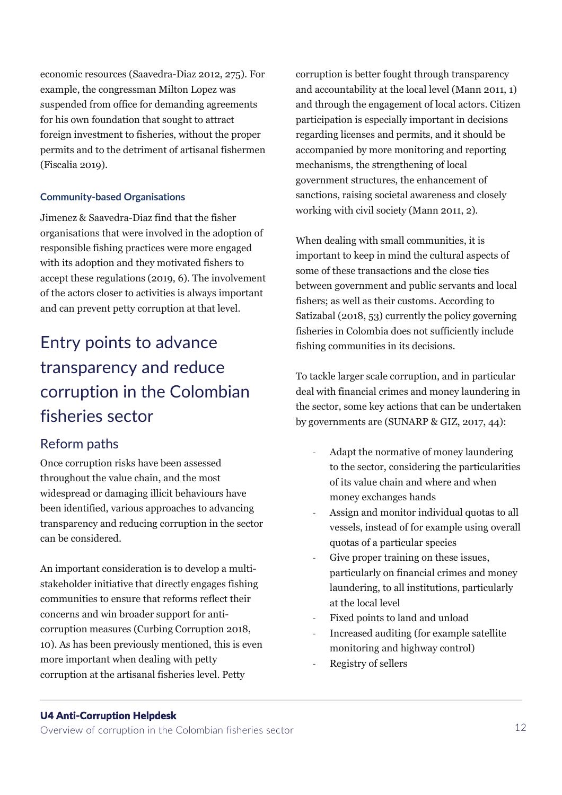economic resources (Saavedra-Diaz 2012, 275). For example, the congressman Milton Lopez was suspended from office for demanding agreements for his own foundation that sought to attract foreign investment to fisheries, without the proper permits and to the detriment of artisanal fishermen (Fiscalia 2019).

### **Community-based Organisations**

Jimenez & Saavedra-Diaz find that the fisher organisations that were involved in the adoption of responsible fishing practices were more engaged with its adoption and they motivated fishers to accept these regulations (2019, 6). The involvement of the actors closer to activities is always important and can prevent petty corruption at that level.

# Entry points to advance transparency and reduce corruption in the Colombian fisheries sector

# Reform paths

Once corruption risks have been assessed throughout the value chain, and the most widespread or damaging illicit behaviours have been identified, various approaches to advancing transparency and reducing corruption in the sector can be considered.

An important consideration is to develop a multistakeholder initiative that directly engages fishing communities to ensure that reforms reflect their concerns and win broader support for anticorruption measures (Curbing Corruption 2018, 10). As has been previously mentioned, this is even more important when dealing with petty corruption at the artisanal fisheries level. Petty

corruption is better fought through transparency and accountability at the local level (Mann 2011, 1) and through the engagement of local actors. Citizen participation is especially important in decisions regarding licenses and permits, and it should be accompanied by more monitoring and reporting mechanisms, the strengthening of local government structures, the enhancement of sanctions, raising societal awareness and closely working with civil society (Mann 2011, 2).

When dealing with small communities, it is important to keep in mind the cultural aspects of some of these transactions and the close ties between government and public servants and local fishers; as well as their customs. According to Satizabal (2018, 53) currently the policy governing fisheries in Colombia does not sufficiently include fishing communities in its decisions.

To tackle larger scale corruption, and in particular deal with financial crimes and money laundering in the sector, some key actions that can be undertaken by governments are (SUNARP & GIZ, 2017, 44):

- Adapt the normative of money laundering to the sector, considering the particularities of its value chain and where and when money exchanges hands
- Assign and monitor individual quotas to all vessels, instead of for example using overall quotas of a particular species
- Give proper training on these issues, particularly on financial crimes and money laundering, to all institutions, particularly at the local level
- Fixed points to land and unload
- Increased auditing (for example satellite monitoring and highway control)
- Registry of sellers

### U4 Anti-Corruption Helpdesk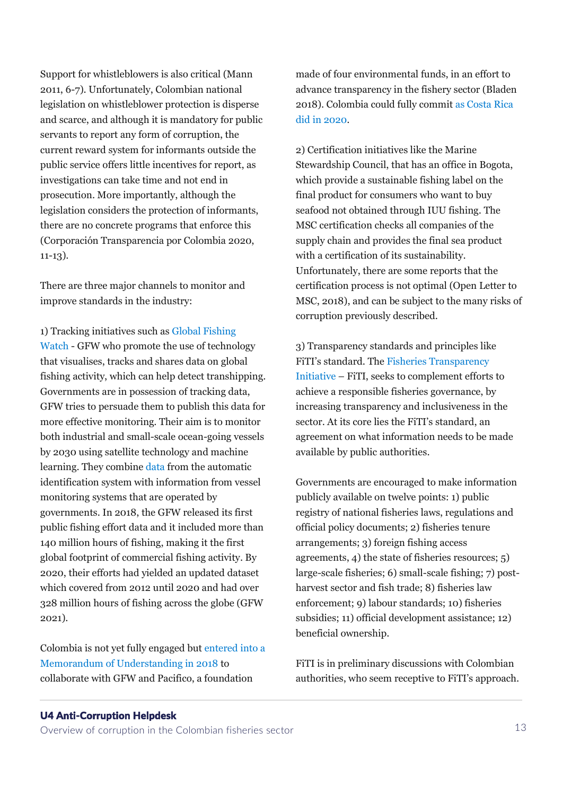Support for whistleblowers is also critical (Mann 2011, 6-7). Unfortunately, Colombian national legislation on whistleblower protection is disperse and scarce, and although it is mandatory for public servants to report any form of corruption, the current reward system for informants outside the public service offers little incentives for report, as investigations can take time and not end in prosecution. More importantly, although the legislation considers the protection of informants, there are no concrete programs that enforce this (Corporación Transparencia por Colombia 2020, 11-13).

There are three major channels to monitor and improve standards in the industry:

1) Tracking initiatives such as [Global Fishing](https://globalfishingwatch.org/)  [Watch](https://globalfishingwatch.org/) - GFW who promote the use of technology that visualises, tracks and shares data on global fishing activity, which can help detect transhipping. Governments are in possession of tracking data, GFW tries to persuade them to publish this data for more effective monitoring. Their aim is to monitor both industrial and small-scale ocean-going vessels by 2030 using satellite technology and machine learning. They combine [data](https://globalfishingwatch.org/our-technology/) from the automatic identification system with information from vessel monitoring systems that are operated by governments. In 2018, the GFW released its first public fishing effort data and it included more than 140 million hours of fishing, making it the first global footprint of commercial fishing activity. By 2020, their efforts had yielded an updated dataset which covered from 2012 until 2020 and had over 328 million hours of fishing across the globe (GFW 2021).

Colombia is not yet fully engaged but [entered into a](https://globalfishingwatch.org/press-release/new-partnership-to-strengthen-transparency-in-fisheries-in-the-eastern-tropical-pacific/)  [Memorandum of Understanding in 2018](https://globalfishingwatch.org/press-release/new-partnership-to-strengthen-transparency-in-fisheries-in-the-eastern-tropical-pacific/) to collaborate with GFW and Pacifico, a foundation

made of four environmental funds, in an effort to advance transparency in the fishery sector (Bladen 2018). Colombia could fully commit [as Costa Rica](https://globalfishingwatch.org/press-release/costa-rica-mou/)  [did in 2020.](https://globalfishingwatch.org/press-release/costa-rica-mou/)

2) Certification initiatives like the Marine Stewardship Council, that has an office in Bogota, which provide a sustainable fishing label on the final product for consumers who want to buy seafood not obtained through IUU fishing. The MSC certification checks all companies of the supply chain and provides the final sea product with a certification of its sustainability. Unfortunately, there are some reports that the certification process is not optimal (Open Letter to MSC, 2018), and can be subject to the many risks of corruption previously described.

3) Transparency standards and principles like FiTI's standard. The [Fisheries Transparency](https://fisheriestransparency.org/)  [Initiative](https://fisheriestransparency.org/) – FiTI, seeks to complement efforts to achieve a responsible fisheries governance, by increasing transparency and inclusiveness in the sector. At its core lies the FiTI's standard, an agreement on what information needs to be made available by public authorities.

Governments are encouraged to make information publicly available on twelve points: 1) public registry of national fisheries laws, regulations and official policy documents; 2) fisheries tenure arrangements; 3) foreign fishing access agreements, 4) the state of fisheries resources; 5) large-scale fisheries; 6) small-scale fishing; 7) postharvest sector and fish trade; 8) fisheries law enforcement; 9) labour standards; 10) fisheries subsidies; 11) official development assistance; 12) beneficial ownership.

FiTI is in preliminary discussions with Colombian authorities, who seem receptive to FiTI's approach.

### U4 Anti-Corruption Helpdesk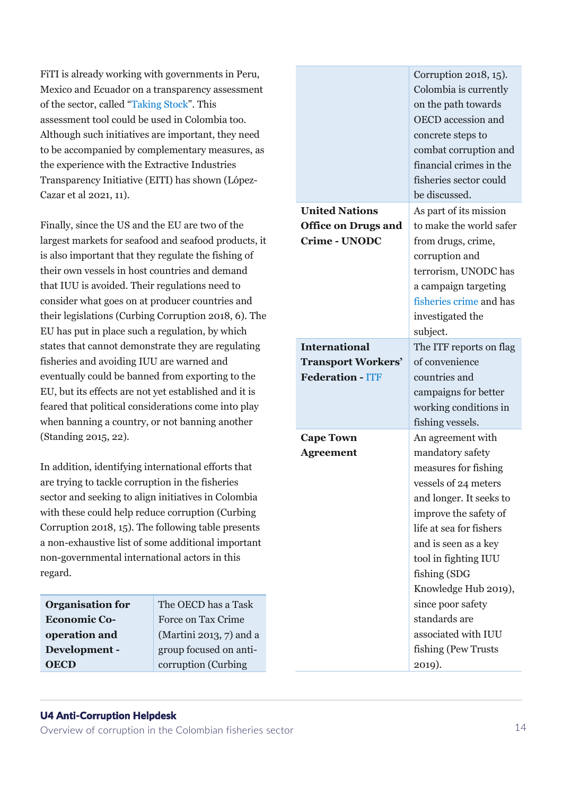FiTI is already working with governments in Peru, Mexico and Ecuador on a transparency assessment of the sector, called "[Taking Stock](https://fisheriestransparency.org/programme-taking-stock-public-disclosure-of-fisheries-management-information)". This assessment tool could be used in Colombia too. Although such initiatives are important, they need to be accompanied by complementary measures, as the experience with the Extractive Industries Transparency Initiative (EITI) has shown (López-Cazar et al 2021, 11).

Finally, since the US and the EU are two of the largest markets for seafood and seafood products, it is also important that they regulate the fishing of their own vessels in host countries and demand that IUU is avoided. Their regulations need to consider what goes on at producer countries and their legislations (Curbing Corruption 2018, 6). The EU has put in place such a regulation, by which states that cannot demonstrate they are regulating fisheries and avoiding IUU are warned and eventually could be banned from exporting to the EU, but its effects are not yet established and it is feared that political considerations come into play when banning a country, or not banning another (Standing 2015, 22).

In addition, identifying international efforts that are trying to tackle corruption in the fisheries sector and seeking to align initiatives in Colombia with these could help reduce corruption (Curbing Corruption 2018, 15). The following table presents a non-exhaustive list of some additional important non-governmental international actors in this regard.

| <b>Organisation for</b> | The OECD has a Task     |
|-------------------------|-------------------------|
| <b>Economic Co-</b>     | Force on Tax Crime      |
| operation and           | (Martini 2013, 7) and a |
| Development -           | group focused on anti-  |
| <b>OECD</b>             | corruption (Curbing     |

|                            | Corruption 2018, 15).<br>Colombia is currently<br>on the path towards<br><b>OECD</b> accession and<br>concrete steps to<br>combat corruption and<br>financial crimes in the<br>fisheries sector could<br>be discussed. |  |  |
|----------------------------|------------------------------------------------------------------------------------------------------------------------------------------------------------------------------------------------------------------------|--|--|
| <b>United Nations</b>      | As part of its mission                                                                                                                                                                                                 |  |  |
| <b>Office on Drugs and</b> | to make the world safer                                                                                                                                                                                                |  |  |
| <b>Crime - UNODC</b>       | from drugs, crime,                                                                                                                                                                                                     |  |  |
|                            | corruption and                                                                                                                                                                                                         |  |  |
|                            | terrorism, UNODC has                                                                                                                                                                                                   |  |  |
|                            | a campaign targeting                                                                                                                                                                                                   |  |  |
|                            | fisheries crime and has                                                                                                                                                                                                |  |  |
|                            | investigated the                                                                                                                                                                                                       |  |  |
|                            | subject.                                                                                                                                                                                                               |  |  |
| <b>International</b>       | The ITF reports on flag                                                                                                                                                                                                |  |  |
| <b>Transport Workers'</b>  | of convenience                                                                                                                                                                                                         |  |  |
| <b>Federation - ITF</b>    | countries and                                                                                                                                                                                                          |  |  |
|                            | campaigns for better                                                                                                                                                                                                   |  |  |
|                            | working conditions in                                                                                                                                                                                                  |  |  |
|                            | fishing vessels.                                                                                                                                                                                                       |  |  |
| <b>Cape Town</b>           | An agreement with                                                                                                                                                                                                      |  |  |
| <b>Agreement</b>           | mandatory safety                                                                                                                                                                                                       |  |  |
|                            | measures for fishing                                                                                                                                                                                                   |  |  |
|                            | vessels of 24 meters                                                                                                                                                                                                   |  |  |
|                            | and longer. It seeks to                                                                                                                                                                                                |  |  |
|                            | improve the safety of<br>life at sea for fishers                                                                                                                                                                       |  |  |
|                            | and is seen as a key                                                                                                                                                                                                   |  |  |
|                            | tool in fighting IUU                                                                                                                                                                                                   |  |  |
|                            | fishing (SDG                                                                                                                                                                                                           |  |  |
|                            | Knowledge Hub 2019),                                                                                                                                                                                                   |  |  |
|                            | since poor safety                                                                                                                                                                                                      |  |  |
|                            | standards are                                                                                                                                                                                                          |  |  |
|                            | associated with IUU                                                                                                                                                                                                    |  |  |
|                            | fishing (Pew Trusts                                                                                                                                                                                                    |  |  |
|                            | 2019).                                                                                                                                                                                                                 |  |  |

# U4 Anti-Corruption Helpdesk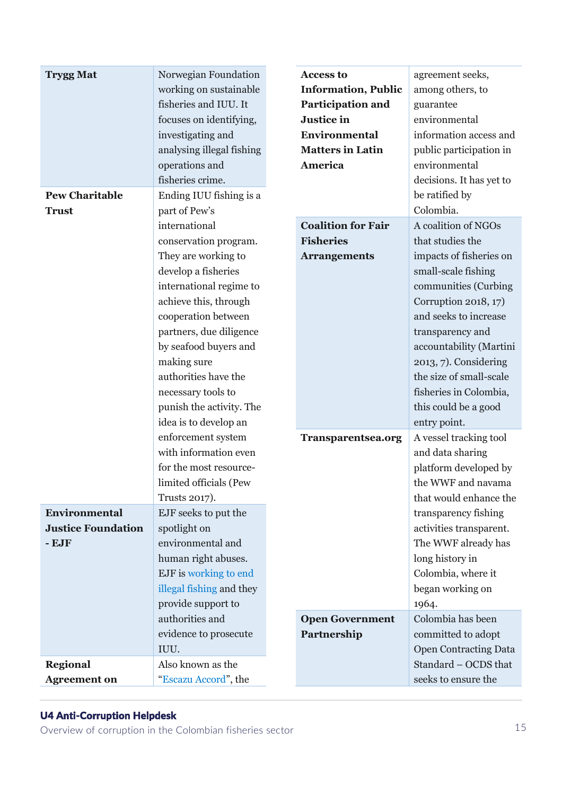| <b>Trygg Mat</b>                                             | Norwegian Foundation<br>working on sustainable<br>fisheries and IUU. It<br>focuses on identifying,<br>investigating and<br>analysing illegal fishing<br>operations and<br>fisheries crime.                                                                                                                                                                                                                                                                                           | <b>Access to</b><br><b>Information, Public</b><br><b>Participation and</b><br>Justice in<br><b>Environmental</b><br><b>Matters in Latin</b><br><b>America</b> | agreement seeks,<br>among others, to<br>guarantee<br>environmental<br>information access and<br>public participation in<br>environmental<br>decisions. It has yet to                                                                                                                                                                                                                                                                                                |
|--------------------------------------------------------------|--------------------------------------------------------------------------------------------------------------------------------------------------------------------------------------------------------------------------------------------------------------------------------------------------------------------------------------------------------------------------------------------------------------------------------------------------------------------------------------|---------------------------------------------------------------------------------------------------------------------------------------------------------------|---------------------------------------------------------------------------------------------------------------------------------------------------------------------------------------------------------------------------------------------------------------------------------------------------------------------------------------------------------------------------------------------------------------------------------------------------------------------|
| <b>Pew Charitable</b><br><b>Trust</b>                        | Ending IUU fishing is a<br>part of Pew's<br>international<br>conservation program.<br>They are working to<br>develop a fisheries<br>international regime to<br>achieve this, through<br>cooperation between<br>partners, due diligence<br>by seafood buyers and<br>making sure<br>authorities have the<br>necessary tools to<br>punish the activity. The<br>idea is to develop an<br>enforcement system<br>with information even<br>for the most resource-<br>limited officials (Pew | <b>Coalition for Fair</b><br><b>Fisheries</b><br><b>Arrangements</b><br><b>Transparentsea.org</b>                                                             | be ratified by<br>Colombia.<br>A coalition of NGOs<br>that studies the<br>impacts of fisheries on<br>small-scale fishing<br>communities (Curbing<br>Corruption 2018, 17)<br>and seeks to increase<br>transparency and<br>accountability (Martini<br>2013, 7). Considering<br>the size of small-scale<br>fisheries in Colombia,<br>this could be a good<br>entry point.<br>A vessel tracking tool<br>and data sharing<br>platform developed by<br>the WWF and navama |
| Environmental<br><b>Justice Foundation</b><br>$-$ <b>EJF</b> | Trusts 2017).<br>EJF seeks to put the<br>spotlight on<br>environmental and<br>human right abuses.<br>EJF is working to end<br>illegal fishing and they<br>provide support to<br>authorities and                                                                                                                                                                                                                                                                                      | <b>Open Government</b>                                                                                                                                        | that would enhance the<br>transparency fishing<br>activities transparent.<br>The WWF already has<br>long history in<br>Colombia, where it<br>began working on<br>1964.<br>Colombia has been                                                                                                                                                                                                                                                                         |
| <b>Regional</b><br><b>Agreement on</b>                       | evidence to prosecute<br>IUU.<br>Also known as the<br>"Escazu Accord", the                                                                                                                                                                                                                                                                                                                                                                                                           | Partnership                                                                                                                                                   | committed to adopt<br><b>Open Contracting Data</b><br>Standard - OCDS that<br>seeks to ensure the                                                                                                                                                                                                                                                                                                                                                                   |

# U4 Anti-Corruption Helpdesk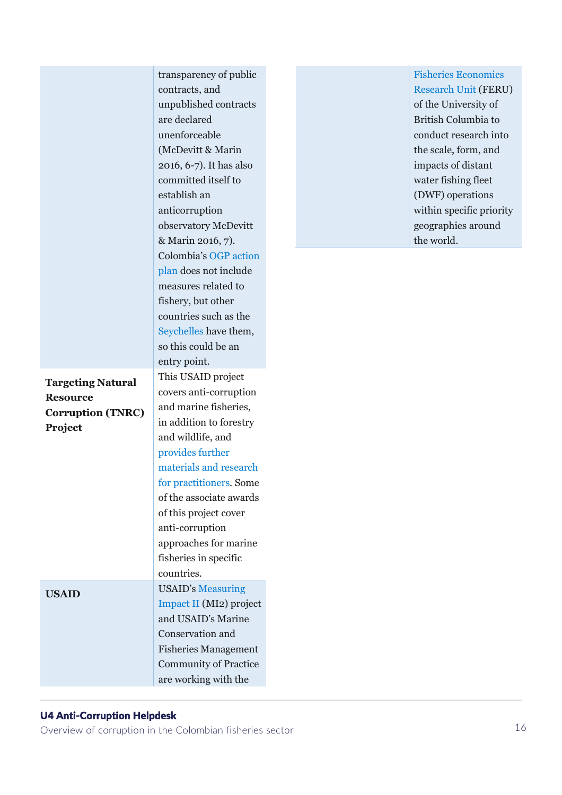|                                                                                    | transparency of public<br>contracts, and<br>unpublished contracts<br>are declared<br>unenforceable<br>(McDevitt & Marin<br>2016, 6-7). It has also<br>committed itself to<br>establish an<br>anticorruption<br>observatory McDevitt<br>& Marin 2016, 7).                                                                              |  | <b>Fisheries Economics</b><br><b>Research Unit (FERU)</b><br>of the University of<br>British Columbia to<br>conduct research into<br>the scale, form, and<br>impacts of distant<br>water fishing fleet<br>(DWF) operations<br>within specific priority<br>geographies around<br>the world. |
|------------------------------------------------------------------------------------|---------------------------------------------------------------------------------------------------------------------------------------------------------------------------------------------------------------------------------------------------------------------------------------------------------------------------------------|--|--------------------------------------------------------------------------------------------------------------------------------------------------------------------------------------------------------------------------------------------------------------------------------------------|
|                                                                                    | Colombia's OGP action<br>plan does not include<br>measures related to<br>fishery, but other<br>countries such as the<br>Seychelles have them,<br>so this could be an<br>entry point.                                                                                                                                                  |  |                                                                                                                                                                                                                                                                                            |
| <b>Targeting Natural</b><br><b>Resource</b><br><b>Corruption (TNRC)</b><br>Project | This USAID project<br>covers anti-corruption<br>and marine fisheries,<br>in addition to forestry<br>and wildlife, and<br>provides further<br>materials and research<br>for practitioners. Some<br>of the associate awards<br>of this project cover<br>anti-corruption<br>approaches for marine<br>fisheries in specific<br>countries. |  |                                                                                                                                                                                                                                                                                            |
| <b>USAID</b>                                                                       | <b>USAID's Measuring</b><br>Impact II (MI2) project<br>and USAID's Marine<br>Conservation and<br><b>Fisheries Management</b><br><b>Community of Practice</b><br>are working with the                                                                                                                                                  |  |                                                                                                                                                                                                                                                                                            |

# U4 Anti-Corruption Helpdesk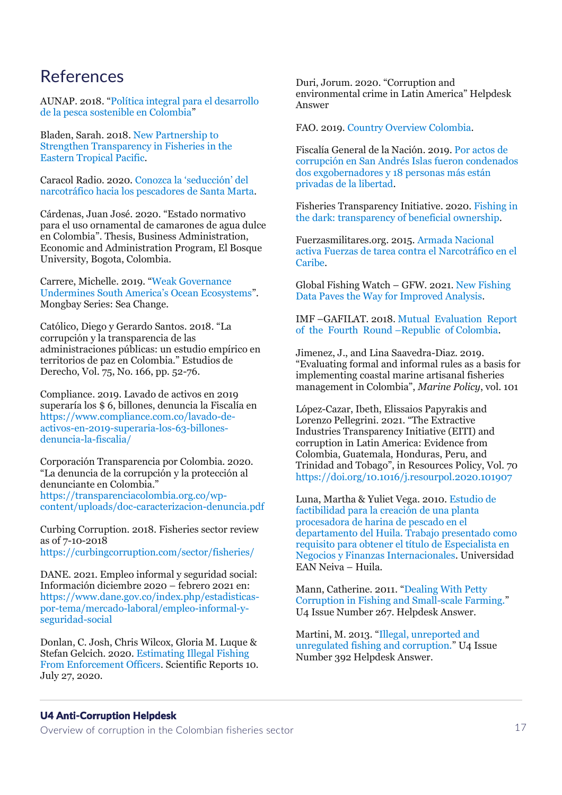# References

AUNAP. 2018. "[Política integral para el desarrollo](https://www.aunap.gov.co/2018/politica-integral-para-el-desarrollo-de-la-pesca-sostenible-en-colombia.pdf)  [de la pesca sostenible en Colombia](https://www.aunap.gov.co/2018/politica-integral-para-el-desarrollo-de-la-pesca-sostenible-en-colombia.pdf)"

Bladen, Sarah. 2018. [New Partnership to](https://globalfishingwatch.org/press-release/new-partnership-to-strengthen-transparency-in-fisheries-in-the-eastern-tropical-pacific/)  [Strengthen Transparency in Fisheries in the](https://globalfishingwatch.org/press-release/new-partnership-to-strengthen-transparency-in-fisheries-in-the-eastern-tropical-pacific/)  [Eastern Tropical Pacific.](https://globalfishingwatch.org/press-release/new-partnership-to-strengthen-transparency-in-fisheries-in-the-eastern-tropical-pacific/)

Caracol Radio. 2020. [Conozca la 'seducción' del](https://caracol.com.co/emisora/2020/09/14/santa_marta/1600082097_357611.html)  [narcotráfico hacia los pescadores de Santa Marta.](https://caracol.com.co/emisora/2020/09/14/santa_marta/1600082097_357611.html)

Cárdenas, Juan José. 2020. "Estado normativo para el uso ornamental de camarones de agua dulce en Colombia". Thesis, Business Administration, Economic and Administration Program, El Bosque University, Bogota, Colombia.

Carrere, Michelle. 2019. "[Weak Governance](https://news.mongabay.com/2019/04/weak-governance-undermines-south-americas-ocean-ecosystems/)  [Undermines South America's Ocean Ecosystems"](https://news.mongabay.com/2019/04/weak-governance-undermines-south-americas-ocean-ecosystems/). Mongbay Series: Sea Change.

Católico, Diego y Gerardo Santos. 2018. "La corrupción y la transparencia de las administraciones públicas: un estudio empírico en territorios de paz en Colombia." Estudios de Derecho, Vol. 75, No. 166, pp. 52-76.

Compliance. 2019. Lavado de activos en 2019 superaría los \$ 6, billones, denuncia la Fiscalía en [https://www.compliance.com.co/lavado-de](https://www.compliance.com.co/lavado-de-activos-en-2019-superaria-los-63-billones-denuncia-la-fiscalia/)[activos-en-2019-superaria-los-63-billones](https://www.compliance.com.co/lavado-de-activos-en-2019-superaria-los-63-billones-denuncia-la-fiscalia/)[denuncia-la-fiscalia/](https://www.compliance.com.co/lavado-de-activos-en-2019-superaria-los-63-billones-denuncia-la-fiscalia/)

Corporación Transparencia por Colombia. 2020. "La denuncia de la corrupción y la protección al denunciante en Colombia." [https://transparenciacolombia.org.co/wp](https://transparenciacolombia.org.co/wp-content/uploads/doc-caracterizacion-denuncia.pdf)[content/uploads/doc-caracterizacion-denuncia.pdf](https://transparenciacolombia.org.co/wp-content/uploads/doc-caracterizacion-denuncia.pdf)

Curbing Corruption. 2018. Fisheries sector review as of 7-10-2018 <https://curbingcorruption.com/sector/fisheries/>

DANE. 2021. Empleo informal y seguridad social: Información diciembre 2020 – febrero 2021 en: [https://www.dane.gov.co/index.php/estadisticas](https://www.dane.gov.co/index.php/estadisticas-por-tema/mercado-laboral/empleo-informal-y-seguridad-social)[por-tema/mercado-laboral/empleo-informal-y](https://www.dane.gov.co/index.php/estadisticas-por-tema/mercado-laboral/empleo-informal-y-seguridad-social)[seguridad-social](https://www.dane.gov.co/index.php/estadisticas-por-tema/mercado-laboral/empleo-informal-y-seguridad-social)

Donlan, C. Josh, Chris Wilcox, Gloria M. Luque & Stefan Gelcich. 2020. [Estimating Illegal Fishing](https://www.nature.com/articles/s41598-020-69311-5)  [From Enforcement Officers.](https://www.nature.com/articles/s41598-020-69311-5) Scientific Reports 10. July 27, 2020.

Duri, Jorum. 2020. "Corruption and environmental crime in Latin America" Helpdesk Answer

FAO. 2019. [Country Overview Colombia.](http://www.fao.org/fishery/facp/COL/es#CountrySector-Overview)

Fiscalía General de la Nación. 2019. [Por actos de](https://www.fiscalia.gov.co/colombia/seccionales/por-actos-de-corrupcion-en-san-andres-islas-fueron-condenados-dos-exgobernadores-y-18-personas-mas-estan-privadas-de-la-libertad/)  [corrupción en San Andrés Islas fueron condenados](https://www.fiscalia.gov.co/colombia/seccionales/por-actos-de-corrupcion-en-san-andres-islas-fueron-condenados-dos-exgobernadores-y-18-personas-mas-estan-privadas-de-la-libertad/)  [dos exgobernadores y 18 personas más están](https://www.fiscalia.gov.co/colombia/seccionales/por-actos-de-corrupcion-en-san-andres-islas-fueron-condenados-dos-exgobernadores-y-18-personas-mas-estan-privadas-de-la-libertad/)  [privadas de la libertad.](https://www.fiscalia.gov.co/colombia/seccionales/por-actos-de-corrupcion-en-san-andres-islas-fueron-condenados-dos-exgobernadores-y-18-personas-mas-estan-privadas-de-la-libertad/)

Fisheries Transparency Initiative. 2020. [Fishing in](http://fisheriestransparency.org/wp-content/uploads/2020/09/FiTI_tBrief03_BO_EN.pdf)  [the dark: transparency of beneficial ownership.](http://fisheriestransparency.org/wp-content/uploads/2020/09/FiTI_tBrief03_BO_EN.pdf)

Fuerzasmilitares.org. 2015. [Armada Nacional](http://www.fuerzasmilitares.org/notas/colombia/armada-nacional/5545-armada-nacional-activa-fuerza-de-tarea-contra-el-narcotr%C3%A1fico-en-el-caribe.html)  [activa Fuerzas de tarea contra el Narcotráfico en el](http://www.fuerzasmilitares.org/notas/colombia/armada-nacional/5545-armada-nacional-activa-fuerza-de-tarea-contra-el-narcotr%C3%A1fico-en-el-caribe.html)  [Caribe.](http://www.fuerzasmilitares.org/notas/colombia/armada-nacional/5545-armada-nacional-activa-fuerza-de-tarea-contra-el-narcotr%C3%A1fico-en-el-caribe.html)

Global Fishing Watch – GFW. 2021[. New Fishing](https://globalfishingwatch.org/data/new-fishing-data-paves-the-way-for-improved-analysis/)  [Data Paves the Way for Improved Analysis.](https://globalfishingwatch.org/data/new-fishing-data-paves-the-way-for-improved-analysis/)

IMF –GAFILAT. 2018. [Mutual Evaluation Report](http://www.fatf-gafi.org/media/fatf/documents/reports/mer-fsrb/GAFILAT-Mutual-Evaluation-Colombia-2018.pdf)  [of the Fourth Round](http://www.fatf-gafi.org/media/fatf/documents/reports/mer-fsrb/GAFILAT-Mutual-Evaluation-Colombia-2018.pdf) –Republic of Colombia.

Jimenez, J., and Lina Saavedra-Diaz. 2019. "Evaluating formal and informal rules as a basis for implementing coastal marine artisanal fisheries management in Colombia", *Marine Policy*, vol. 101

López-Cazar, Ibeth, Elissaios Papyrakis and Lorenzo Pellegrini. 2021. "The Extractive Industries Transparency Initiative (EITI) and corruption in Latin America: Evidence from Colombia, Guatemala, Honduras, Peru, and Trinidad and Tobago", in Resources Policy, Vol. 70 <https://doi.org/10.1016/j.resourpol.2020.101907>

Luna, Martha & Yuliet Vega. 2010. [Estudio de](https://repository.ean.edu.co/bitstream/handle/10882/537/LunaMartha2010.pdf;jsessionid=4C460D7F83B6BF1FE6C49033564D9286?sequence=1)  [factibilidad para la creación de una planta](https://repository.ean.edu.co/bitstream/handle/10882/537/LunaMartha2010.pdf;jsessionid=4C460D7F83B6BF1FE6C49033564D9286?sequence=1)  [procesadora de harina de pescado en el](https://repository.ean.edu.co/bitstream/handle/10882/537/LunaMartha2010.pdf;jsessionid=4C460D7F83B6BF1FE6C49033564D9286?sequence=1)  [departamento del Huila. Trabajo presentado como](https://repository.ean.edu.co/bitstream/handle/10882/537/LunaMartha2010.pdf;jsessionid=4C460D7F83B6BF1FE6C49033564D9286?sequence=1)  [requisito para obtener el título de Especialista en](https://repository.ean.edu.co/bitstream/handle/10882/537/LunaMartha2010.pdf;jsessionid=4C460D7F83B6BF1FE6C49033564D9286?sequence=1)  [Negocios y Finanzas Internacionales.](https://repository.ean.edu.co/bitstream/handle/10882/537/LunaMartha2010.pdf;jsessionid=4C460D7F83B6BF1FE6C49033564D9286?sequence=1) Universidad EAN Neiva – Huila.

Mann, Catherine. 2011. "[Dealing With Petty](https://knowledgehub.transparency.org/helpdesk/dealing-with-petty-corruption-in-fishing-and-small-scale-farming)  [Corruption in Fishing and Small-scale Farming.](https://knowledgehub.transparency.org/helpdesk/dealing-with-petty-corruption-in-fishing-and-small-scale-farming)" U4 Issue Number 267. Helpdesk Answer.

Martini, M. 2013. "[Illegal, unreported and](https://knowledgehub.transparency.org/helpdesk/illegal-unreported-and-unregulated-fishing-and-corruption)  [unregulated fishing and corruption.](https://knowledgehub.transparency.org/helpdesk/illegal-unreported-and-unregulated-fishing-and-corruption)" U4 Issue Number 392 Helpdesk Answer.

### U4 Anti-Corruption Helpdesk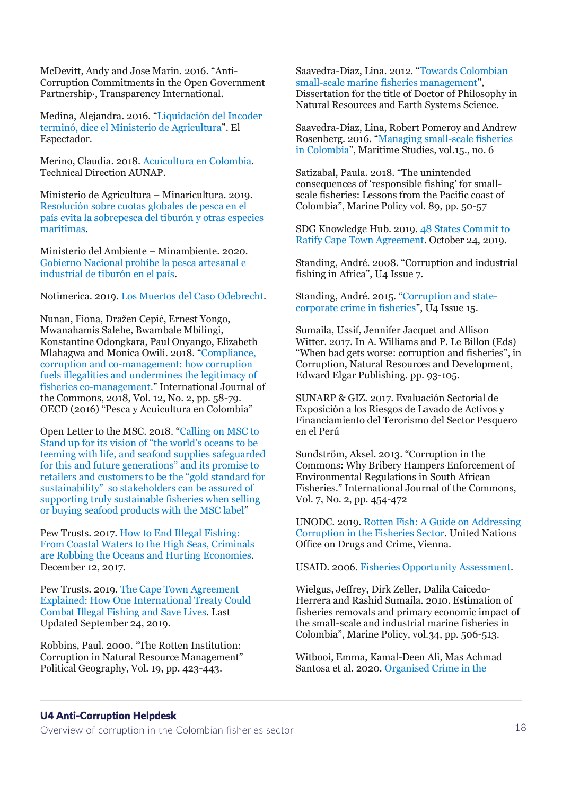McDevitt, Andy and Jose Marin. 2016. "Anti-Corruption Commitments in the Open Government Partnership·, Transparency International.

Medina, Alejandra. 2016. "[Liquidación del Incoder](https://www.elespectador.com/noticias/economia/liquidacion-del-incoder-termino-dice-el-ministerio-de-agricultura/)  [terminó, dice el Ministerio de Agricultura](https://www.elespectador.com/noticias/economia/liquidacion-del-incoder-termino-dice-el-ministerio-de-agricultura/)". El Espectador.

Merino, Claudia. 2018. [Acuicultura en Colombia.](https://www.aunap.gov.co/images/convenio/presentacion-tecnica-acuicultura-en-colombia.pdf) Technical Direction AUNAP.

Ministerio de Agricultura – Minaricultura. 2019. [Resolución sobre cuotas globales de pesca en el](https://www.minagricultura.gov.co/noticias/Paginas/Resoluci%C3%B3n-sobre-cuotas-globales-de-pesca-en-el-pa%C3%ADs-evita-la-sobrepesca-del-tibur%C3%B3n-y-otras-especies-mar%C3%ADtimas.aspx)  [país evita la sobrepesca del tiburón y otras especies](https://www.minagricultura.gov.co/noticias/Paginas/Resoluci%C3%B3n-sobre-cuotas-globales-de-pesca-en-el-pa%C3%ADs-evita-la-sobrepesca-del-tibur%C3%B3n-y-otras-especies-mar%C3%ADtimas.aspx)  [marítimas.](https://www.minagricultura.gov.co/noticias/Paginas/Resoluci%C3%B3n-sobre-cuotas-globales-de-pesca-en-el-pa%C3%ADs-evita-la-sobrepesca-del-tibur%C3%B3n-y-otras-especies-mar%C3%ADtimas.aspx)

Ministerio del Ambiente – Minambiente. 2020. [Gobierno Nacional prohíbe la pesca artesanal e](https://www.minambiente.gov.co/index.php/noticias/4876-gobierno-nacional-prohibe-la-pesca-artesanal-e-industrial-de-tiburon-en-el-pais)  [industrial de tiburón en el país.](https://www.minambiente.gov.co/index.php/noticias/4876-gobierno-nacional-prohibe-la-pesca-artesanal-e-industrial-de-tiburon-en-el-pais)

Notimerica. 2019. [Los Muertos del Caso Odebrecht.](https://www.notimerica.com/politica/noticia-muertos-caso-odebrecht-mayores-escandalos-corrupcion-iberoamerica-20190418153458.html)

Nunan, Fiona, Dražen Cepić, Ernest Yongo, Mwanahamis Salehe, Bwambale Mbilingi, Konstantine Odongkara, Paul Onyango, Elizabeth Mlahagwa and Monica Owili. 2018. "[Compliance,](https://www.oecd.org/colombia/Fisheries_Colombia_SPA_rev.pdf)  [corruption and co-management: how corruption](https://www.oecd.org/colombia/Fisheries_Colombia_SPA_rev.pdf)  [fuels illegalities and undermines the legitimacy of](https://www.oecd.org/colombia/Fisheries_Colombia_SPA_rev.pdf)  [fisheries co-management.](https://www.oecd.org/colombia/Fisheries_Colombia_SPA_rev.pdf)" International Journal of the Commons, 2018, Vol. 12, No. 2, pp. 58-79. OECD (2016) "Pesca y Acuicultura en Colombia"

Open Letter to the MSC. 2018. "[Calling on MSC to](https://isea.com.gr/wp-content/uploads/2018/01/Open-Letter-to-MSC_FINAL_January-2018.pdf)  [Stand up for its vision of "the world's oceans to be](https://isea.com.gr/wp-content/uploads/2018/01/Open-Letter-to-MSC_FINAL_January-2018.pdf)  [teeming with life, and seafood supplies safeguarded](https://isea.com.gr/wp-content/uploads/2018/01/Open-Letter-to-MSC_FINAL_January-2018.pdf)  [for this and future generations" and its promise to](https://isea.com.gr/wp-content/uploads/2018/01/Open-Letter-to-MSC_FINAL_January-2018.pdf)  [retailers and customers to be the "](https://isea.com.gr/wp-content/uploads/2018/01/Open-Letter-to-MSC_FINAL_January-2018.pdf)gold standard for [sustainability" so stakeholders can be assured of](https://isea.com.gr/wp-content/uploads/2018/01/Open-Letter-to-MSC_FINAL_January-2018.pdf)  [supporting truly sustainable fisheries when selling](https://isea.com.gr/wp-content/uploads/2018/01/Open-Letter-to-MSC_FINAL_January-2018.pdf)  [or buying seafood products with the MSC label](https://isea.com.gr/wp-content/uploads/2018/01/Open-Letter-to-MSC_FINAL_January-2018.pdf)"

Pew Trusts. 2017[. How to End Illegal Fishing:](https://www.pewtrusts.org/en/research-and-analysis/issue-briefs/2017/12/how-to-end-illegal-fishing)  [From Coastal Waters to the High Seas, Criminals](https://www.pewtrusts.org/en/research-and-analysis/issue-briefs/2017/12/how-to-end-illegal-fishing)  [are Robbing the Oceans and Hurting Economies.](https://www.pewtrusts.org/en/research-and-analysis/issue-briefs/2017/12/how-to-end-illegal-fishing) December 12, 2017.

Pew Trusts. 2019. [The Cape Town Agreement](https://www.pewtrusts.org/en/research-and-analysis/issue-briefs/2018/10/the-cape-town-agreement-explained)  [Explained: How One International Treaty Could](https://www.pewtrusts.org/en/research-and-analysis/issue-briefs/2018/10/the-cape-town-agreement-explained)  [Combat Illegal Fishing and Save Lives.](https://www.pewtrusts.org/en/research-and-analysis/issue-briefs/2018/10/the-cape-town-agreement-explained) Last Updated September 24, 2019.

Robbins, Paul. 2000. "The Rotten Institution: Corruption in Natural Resource Management" Political Geography, Vol. 19, pp. 423-443.

Saavedra-Diaz, Lina. 2012. "[Towards Colombian](https://core.ac.uk/download/pdf/215517609.pdf)  [small-scale marine fisheries management](https://core.ac.uk/download/pdf/215517609.pdf)", Dissertation for the title of Doctor of Philosophy in Natural Resources and Earth Systems Science.

Saavedra-Diaz, Lina, Robert Pomeroy and Andrew Rosenberg. 2016. "[Managing small-scale fisheries](https://link.springer.com/article/10.1186/s40152-016-0047-z)  [in Colombia](https://link.springer.com/article/10.1186/s40152-016-0047-z)", Maritime Studies, vol.15., no. 6

Satizabal, Paula. 2018. "The unintended consequences of 'responsible fishing' for smallscale fisheries: Lessons from the Pacific coast of Colombia", Marine Policy vol. 89, pp. 50-57

SDG Knowledge Hub. 2019. [48 States Commit to](https://sdg.iisd.org/news/48-states-commit-to-ratify-cape-town-agreement/)  [Ratify Cape Town Agreement.](https://sdg.iisd.org/news/48-states-commit-to-ratify-cape-town-agreement/) October 24, 2019.

Standing, André. 2008. "Corruption and industrial fishing in Africa", U4 Issue 7.

Standing, André. 2015. "[Corruption and state](https://www.u4.no/publications/corruption-and-state-corporate-crime-in-fisheries.pdf)[corporate crime in fisheries](https://www.u4.no/publications/corruption-and-state-corporate-crime-in-fisheries.pdf)", U4 Issue 15.

Sumaila, Ussif, Jennifer Jacquet and Allison Witter. 2017. In A. Williams and P. Le Billon (Eds) "When bad gets worse: corruption and fisheries", in Corruption, Natural Resources and Development, Edward Elgar Publishing. pp. 93-105.

SUNARP & GIZ. 2017. Evaluación Sectorial de Exposición a los Riesgos de Lavado de Activos y Financiamiento del Terorismo del Sector Pesquero en el Perú

Sundström, Aksel. 2013. "Corruption in the Commons: Why Bribery Hampers Enforcement of Environmental Regulations in South African Fisheries." International Journal of the Commons, Vol. 7, No. 2, pp. 454-472

UNODC. 2019. [Rotten Fish: A Guide on Addressing](https://www.unodc.org/documents/Rotten_Fish.pdf)  [Corruption in the Fisheries Sector.](https://www.unodc.org/documents/Rotten_Fish.pdf) United Nations Office on Drugs and Crime, Vienna.

USAID. 2006. [Fisheries Opportunity Assessment.](https://www.crc.uri.edu/download/Fish_Opp_Assess_Final_012607_508.pdf)

Wielgus, Jeffrey, Dirk Zeller, Dalila Caicedo-Herrera and Rashid Sumaila. 2010. Estimation of fisheries removals and primary economic impact of the small-scale and industrial marine fisheries in Colombia", Marine Policy, vol.34, pp. 506-513.

Witbooi, Emma, Kamal-Deen Ali, Mas Achmad Santosa et al. 2020. [Organised Crime in the](https://oceanpanel.org/sites/default/files/2020-08/Organised%20Crime%20in%20the%20Fisheries%20Sector%20Full%20Paper%20Final.pdf) 

### U4 Anti-Corruption Helpdesk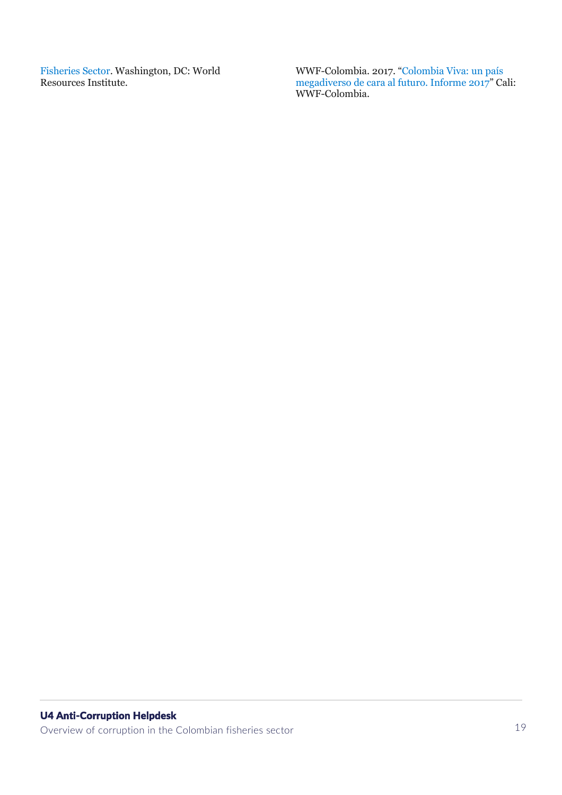[Fisheries Sector.](https://oceanpanel.org/sites/default/files/2020-08/Organised%20Crime%20in%20the%20Fisheries%20Sector%20Full%20Paper%20Final.pdf) Washington, DC: World Resources Institute.

WWF-Colombia. 2017. "[Colombia Viva: un país](https://d2ouvy59p0dg6k.cloudfront.net/downloads/colombia_viva__informe_2017_1.pdf)  [megadiverso de cara al futuro. Informe 2017](https://d2ouvy59p0dg6k.cloudfront.net/downloads/colombia_viva__informe_2017_1.pdf)" Cali: WWF-Colombia.